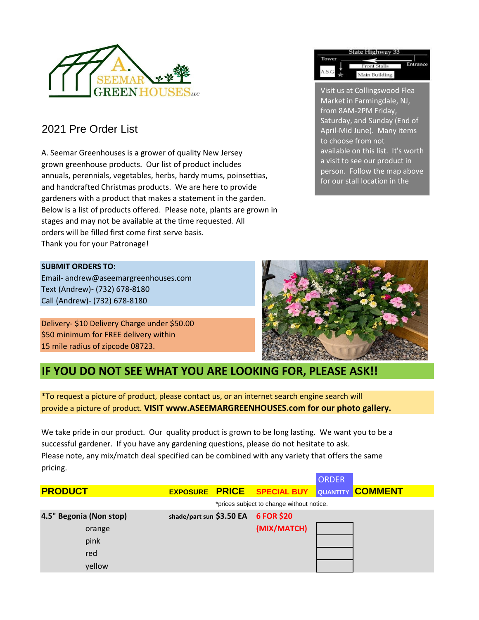

### 2021 Pre Order List

A. Seemar Greenhouses is a grower of quality New Jersey grown greenhouse products. Our list of product includes annuals, perennials, vegetables, herbs, hardy mums, poinsettias, and handcrafted Christmas products. We are here to provide gardeners with a product that makes a statement in the garden. Below is a list of products offered. Please note, plants are grown in stages and may not be available at the time requested. All orders will be filled first come first serve basis. Thank you for your Patronage!

### **SUBMIT ORDERS TO:**

Email- andrew@aseemargreenhouses.com Text (Andrew)- (732) 678-8180 Call (Andrew)- (732) 678-8180

Delivery- \$10 Delivery Charge under \$50.00 \$50 minimum for FREE delivery within 15 mile radius of zipcode 08723.



Visit us at Collingswood Flea Market in Farmingdale, NJ, from 8AM-2PM Friday, Saturday, and Sunday (End of April-Mid June). Many items

tate Highway 3

Main Building

Entrar

available on this list. It's worth a visit to see our product in person. Follow the map above for our stall location in the

to choose from not

Tower

A.S.G

### **IF YOU DO NOT SEE WHAT YOU ARE LOOKING FOR, PLEASE ASK!!**

\*To request a picture of product, please contact us, or an internet search engine search will provide a picture of product. **VISIT www.ASEEMARGREENHOUSES.com for our photo gallery.**

We take pride in our product. Our quality product is grown to be long lasting. We want you to be a successful gardener. If you have any gardening questions, please do not hesitate to ask. Please note, any mix/match deal specified can be combined with any variety that offers the same pricing.

|                |                         |                          |                                           | <b>ORDER</b> |                         |
|----------------|-------------------------|--------------------------|-------------------------------------------|--------------|-------------------------|
| <b>PRODUCT</b> |                         |                          | <b>EXPOSURE PRICE SPECIAL BUY</b>         |              | <b>QUANTITY COMMENT</b> |
|                |                         |                          | *prices subject to change without notice. |              |                         |
|                | 4.5" Begonia (Non stop) | shade/part sun \$3.50 EA | <b>6 FOR \$20</b>                         |              |                         |
|                | orange                  |                          | (MIX/MATCH)                               |              |                         |
|                | pink                    |                          |                                           |              |                         |
|                | red                     |                          |                                           |              |                         |
|                | yellow                  |                          |                                           |              |                         |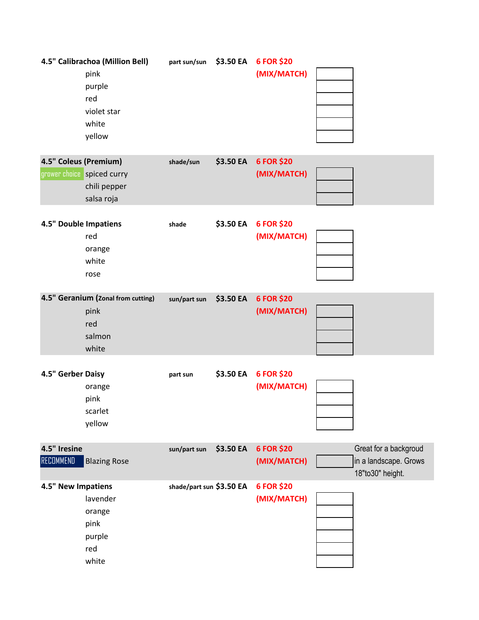|                              | 4.5" Calibrachoa (Million Bell)    | part sun/sun             | \$3.50 EA | 6 FOR \$20  |                       |
|------------------------------|------------------------------------|--------------------------|-----------|-------------|-----------------------|
|                              | pink                               |                          |           | (MIX/MATCH) |                       |
|                              | purple<br>red                      |                          |           |             |                       |
|                              | violet star                        |                          |           |             |                       |
|                              | white                              |                          |           |             |                       |
|                              | yellow                             |                          |           |             |                       |
|                              |                                    |                          |           |             |                       |
| 4.5" Coleus (Premium)        |                                    | shade/sun                | \$3.50 EA | 6 FOR \$20  |                       |
|                              | grower choice spiced curry         |                          |           | (MIX/MATCH) |                       |
|                              | chili pepper                       |                          |           |             |                       |
|                              | salsa roja                         |                          |           |             |                       |
|                              |                                    |                          |           |             |                       |
| <b>4.5" Double Impatiens</b> |                                    | shade                    | \$3.50 EA | 6 FOR \$20  |                       |
|                              | red                                |                          |           | (MIX/MATCH) |                       |
|                              | orange                             |                          |           |             |                       |
|                              | white                              |                          |           |             |                       |
|                              | rose                               |                          |           |             |                       |
|                              | 4.5" Geranium (Zonal from cutting) | sun/part sun             | \$3.50 EA | 6 FOR \$20  |                       |
|                              | pink                               |                          |           | (MIX/MATCH) |                       |
|                              | red                                |                          |           |             |                       |
|                              | salmon                             |                          |           |             |                       |
|                              | white                              |                          |           |             |                       |
|                              |                                    |                          |           |             |                       |
| 4.5" Gerber Daisy            |                                    | part sun                 | \$3.50 EA | 6 FOR \$20  |                       |
|                              | orange                             |                          |           | (MIX/MATCH) |                       |
|                              | pink                               |                          |           |             |                       |
|                              | scarlet                            |                          |           |             |                       |
|                              | yellow                             |                          |           |             |                       |
| 4.5" Iresine                 |                                    | sun/part sun             | \$3.50 EA | 6 FOR \$20  | Great for a backgroud |
| <b>RECOMMEND</b>             | <b>Blazing Rose</b>                |                          |           | (MIX/MATCH) | in a landscape. Grows |
|                              |                                    |                          |           |             | 18"to30" height.      |
| 4.5" New Impatiens           |                                    | shade/part sun \$3.50 EA |           | 6 FOR \$20  |                       |
|                              | lavender                           |                          |           | (MIX/MATCH) |                       |
|                              | orange                             |                          |           |             |                       |
|                              | pink                               |                          |           |             |                       |
|                              | purple                             |                          |           |             |                       |
|                              | red                                |                          |           |             |                       |
|                              | white                              |                          |           |             |                       |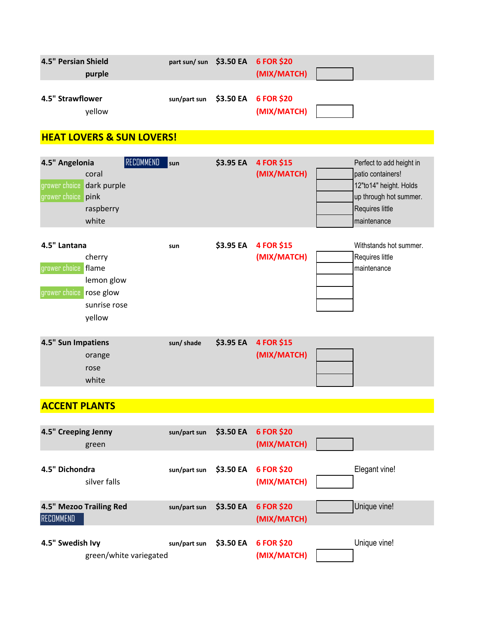| 4.5" Persian Shield<br>purple | part sun/ sun \$3.50 EA 6 FOR \$20   | (MIX/MATCH) |  |
|-------------------------------|--------------------------------------|-------------|--|
|                               |                                      |             |  |
| 4.5" Strawflower<br>vellow    | $sun/part$ sun $$3.50$ EA 6 FOR \$20 | (MIX/MATCH) |  |

## **HEAT LOVERS & SUN LOVERS!**

| 4.5" Angelonia            |           | $\sf RECDMMEND$ | sun | \$3.95 EA 4 FOR \$15 | Perfect to add height in |
|---------------------------|-----------|-----------------|-----|----------------------|--------------------------|
|                           | coral     |                 |     | (MIX/MATCH)          | patio containers!        |
| grower choice dark purple |           |                 |     |                      | 12"to14" height. Holds   |
| grower choice pink        |           |                 |     |                      | up through hot summer.   |
|                           | raspberry |                 |     |                      | Requires little          |
|                           | white     |                 |     |                      | maintenance              |
|                           |           |                 |     |                      |                          |

| 4.5" Lantana            |              | sun | \$3.95 EA | <b>4 FOR \$15</b> | Withstands hot summer. |
|-------------------------|--------------|-----|-----------|-------------------|------------------------|
|                         | cherry       |     |           | (MIX/MATCH)       | Requires little        |
| grower choice flame     |              |     |           |                   | maintenance            |
|                         | lemon glow   |     |           |                   |                        |
| grower choice rose glow |              |     |           |                   |                        |
|                         | sunrise rose |     |           |                   |                        |
|                         | yellow       |     |           |                   |                        |
|                         |              |     |           |                   |                        |

| 4.5" Sun Impatiens | sun/shade | \$3.95 EA 4 FOR \$15 |  |
|--------------------|-----------|----------------------|--|
| orange             |           | (MIX/MATCH)          |  |
| rose               |           |                      |  |
| white              |           |                      |  |

# **ACCENT PLANTS**

| 4.5" Creeping Jenny | green                   | sun/part sun | \$3.50 EA | <b>6 FOR \$20</b><br>(MIX/MATCH) |               |
|---------------------|-------------------------|--------------|-----------|----------------------------------|---------------|
| 4.5" Dichondra      | silver falls            | sun/part sun | \$3.50 EA | <b>6 FOR \$20</b><br>(MIX/MATCH) | Elegant vine! |
| <b>RECOMMEND</b>    | 4.5" Mezoo Trailing Red | sun/part sun | \$3.50 EA | 6 FOR \$20<br>(MIX/MATCH)        | Unique vine!  |
| 4.5" Swedish Ivy    | green/white variegated  | sun/part sun | \$3.50 EA | 6 FOR \$20<br>(MIX/MATCH)        | Unique vine!  |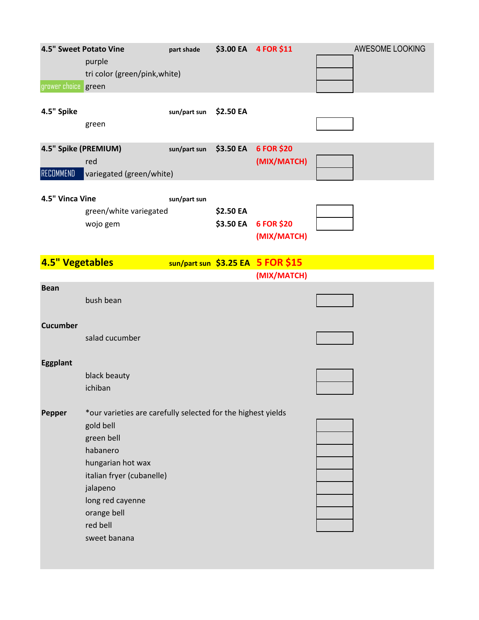|                        | 4.5" Sweet Potato Vine                                       | part shade   |           | \$3.00 EA 4 FOR \$11              | AWESOME LOOKING |
|------------------------|--------------------------------------------------------------|--------------|-----------|-----------------------------------|-----------------|
|                        | purple                                                       |              |           |                                   |                 |
|                        | tri color (green/pink, white)                                |              |           |                                   |                 |
| grower choice green    |                                                              |              |           |                                   |                 |
|                        |                                                              |              |           |                                   |                 |
| 4.5" Spike             |                                                              | sun/part sun | \$2.50 EA |                                   |                 |
|                        | green                                                        |              |           |                                   |                 |
|                        |                                                              |              |           |                                   |                 |
| 4.5" Spike (PREMIUM)   |                                                              | sun/part sun | \$3.50 EA | 6 FOR \$20                        |                 |
|                        | red                                                          |              |           | (MIX/MATCH)                       |                 |
| RECOMMEND              | variegated (green/white)                                     |              |           |                                   |                 |
|                        |                                                              |              |           |                                   |                 |
| 4.5" Vinca Vine        |                                                              | sun/part sun |           |                                   |                 |
|                        | green/white variegated                                       |              | \$2.50 EA |                                   |                 |
|                        |                                                              |              | \$3.50 EA | 6 FOR \$20                        |                 |
|                        | wojo gem                                                     |              |           |                                   |                 |
|                        |                                                              |              |           | (MIX/MATCH)                       |                 |
|                        |                                                              |              |           |                                   |                 |
| <b>4.5" Vegetables</b> |                                                              |              |           | sun/part sun \$3.25 EA 5 FOR \$15 |                 |
|                        |                                                              |              |           | (MIX/MATCH)                       |                 |
| <b>Bean</b>            |                                                              |              |           |                                   |                 |
|                        | bush bean                                                    |              |           |                                   |                 |
|                        |                                                              |              |           |                                   |                 |
| <b>Cucumber</b>        |                                                              |              |           |                                   |                 |
|                        | salad cucumber                                               |              |           |                                   |                 |
|                        |                                                              |              |           |                                   |                 |
| Eggplant               |                                                              |              |           |                                   |                 |
|                        | black beauty                                                 |              |           |                                   |                 |
|                        | ichiban                                                      |              |           |                                   |                 |
|                        |                                                              |              |           |                                   |                 |
| <b>Pepper</b>          | *our varieties are carefully selected for the highest yields |              |           |                                   |                 |
|                        | gold bell                                                    |              |           |                                   |                 |
|                        | green bell                                                   |              |           |                                   |                 |
|                        | habanero                                                     |              |           |                                   |                 |
|                        | hungarian hot wax                                            |              |           |                                   |                 |
|                        | italian fryer (cubanelle)                                    |              |           |                                   |                 |
|                        | jalapeno                                                     |              |           |                                   |                 |
|                        | long red cayenne                                             |              |           |                                   |                 |
|                        |                                                              |              |           |                                   |                 |
|                        | orange bell                                                  |              |           |                                   |                 |
|                        | red bell                                                     |              |           |                                   |                 |
|                        | sweet banana                                                 |              |           |                                   |                 |
|                        |                                                              |              |           |                                   |                 |
|                        |                                                              |              |           |                                   |                 |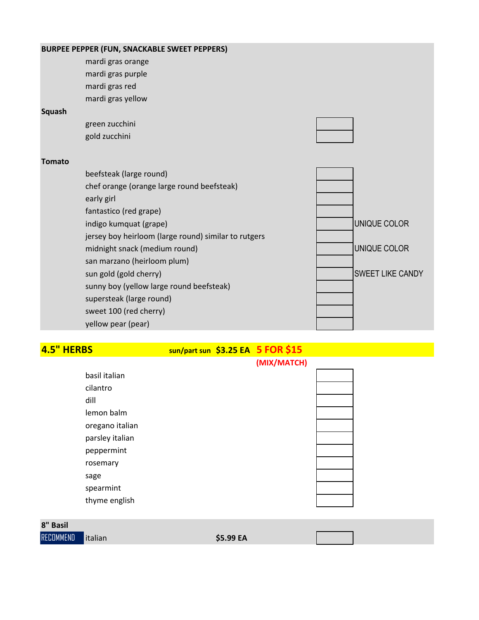|        | BURPEE PEPPER (FUN, SNACKABLE SWEET PEPPERS)         |                         |
|--------|------------------------------------------------------|-------------------------|
|        | mardi gras orange                                    |                         |
|        | mardi gras purple                                    |                         |
|        | mardi gras red                                       |                         |
|        | mardi gras yellow                                    |                         |
| Squash |                                                      |                         |
|        | green zucchini                                       |                         |
|        | gold zucchini                                        |                         |
| Tomato |                                                      |                         |
|        | beefsteak (large round)                              |                         |
|        | chef orange (orange large round beefsteak)           |                         |
|        | early girl                                           |                         |
|        | fantastico (red grape)                               |                         |
|        | indigo kumquat (grape)                               | UNIQUE COLOR            |
|        | jersey boy heirloom (large round) similar to rutgers |                         |
|        | midnight snack (medium round)                        | UNIQUE COLOR            |
|        | san marzano (heirloom plum)                          |                         |
|        | sun gold (gold cherry)                               | <b>SWEET LIKE CANDY</b> |
|        | sunny boy (yellow large round beefsteak)             |                         |
|        | supersteak (large round)                             |                         |
|        | sweet 100 (red cherry)                               |                         |
|        | yellow pear (pear)                                   |                         |

# **4.5" HERBS sun/part sun \$3.25 EA 5 FOR \$15**

|                 | (MIX/MATCH) |  |
|-----------------|-------------|--|
| basil italian   |             |  |
| cilantro        |             |  |
| dill            |             |  |
| lemon balm      |             |  |
| oregano italian |             |  |
| parsley italian |             |  |
| peppermint      |             |  |
| rosemary        |             |  |
| sage            |             |  |
| spearmint       |             |  |
| thyme english   |             |  |
|                 |             |  |

| 8" Basil         |          |           |  |
|------------------|----------|-----------|--|
| <b>RECOMMEND</b> | litalian | \$5.99 EA |  |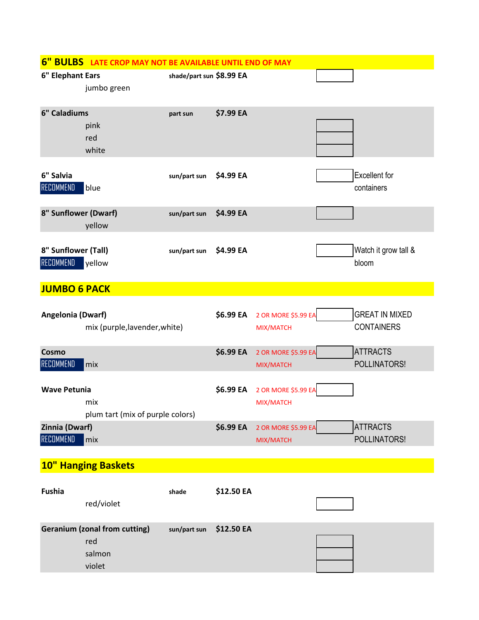|                                         | 6" BULBS LATE CROP MAY NOT BE AVAILABLE UNTIL END OF MAY        |                          |            |                                  |                                            |
|-----------------------------------------|-----------------------------------------------------------------|--------------------------|------------|----------------------------------|--------------------------------------------|
| 6" Elephant Ears                        | jumbo green                                                     | shade/part sun \$8.99 EA |            |                                  |                                            |
| 6" Caladiums                            | pink<br>red<br>white                                            | part sun                 | \$7.99 EA  |                                  |                                            |
| 6" Salvia<br>RECOMMEND                  | blue                                                            | sun/part sun             | \$4.99 EA  |                                  | <b>Excellent</b> for<br>containers         |
| 8" Sunflower (Dwarf)                    | yellow                                                          | sun/part sun             | \$4.99 EA  |                                  |                                            |
| 8" Sunflower (Tall)<br><b>RECOMMEND</b> | yellow                                                          | sun/part sun             | \$4.99 EA  |                                  | Watch it grow tall &<br>bloom              |
| <b>JUMBO 6 PACK</b>                     |                                                                 |                          |            |                                  |                                            |
| Angelonia (Dwarf)                       | mix (purple, lavender, white)                                   |                          | \$6.99 EA  | 2 OR MORE \$5.99 EA<br>MIX/MATCH | <b>GREAT IN MIXED</b><br><b>CONTAINERS</b> |
| Cosmo<br>RECOMMEND                      | mix                                                             |                          | \$6.99 EA  | 2 OR MORE \$5.99 EA<br>MIX/MATCH | <b>ATTRACTS</b><br>POLLINATORS!            |
| <b>Wave Petunia</b>                     | mix<br>plum tart (mix of purple colors)                         |                          | \$6.99 EA  | 2 OR MORE \$5.99 EA<br>MIX/MATCH |                                            |
| Zinnia (Dwarf)<br>RECOMMEND             | mix                                                             |                          | \$6.99 EA  | 2 OR MORE \$5.99 EA<br>MIX/MATCH | <b>ATTRACTS</b><br>POLLINATORS!            |
|                                         | <b>10" Hanging Baskets</b>                                      |                          |            |                                  |                                            |
| Fushia                                  |                                                                 | shade                    | \$12.50 EA |                                  |                                            |
|                                         | red/violet                                                      |                          |            |                                  |                                            |
|                                         | <b>Geranium (zonal from cutting)</b><br>red<br>salmon<br>violet | sun/part sun             | \$12.50 EA |                                  |                                            |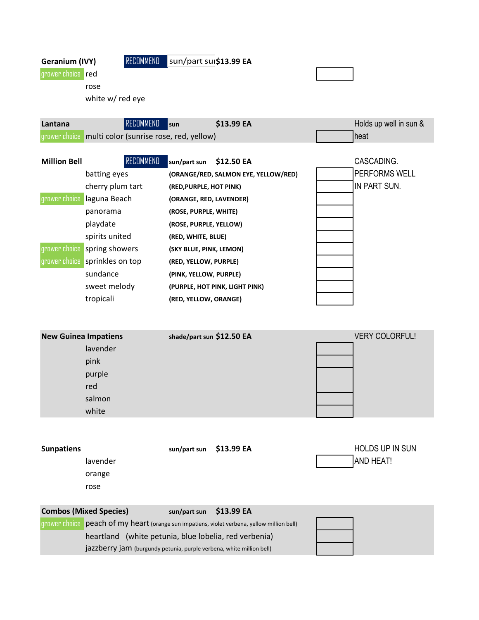Geranium (IVY) RECOMMEND sun/part sui\$13.99 EA

grower choice <mark>red</mark> rose

white w/ red eye

| \$13.99 EA                                                             | Holds up well in sun & |
|------------------------------------------------------------------------|------------------------|
| grower choice multi color (sunrise rose, red, yellow)<br><b>I</b> heat |                        |

| <b>Million Bell</b> | RECOMMEND        | \$12.50 EA<br>sun/part sun           |  |
|---------------------|------------------|--------------------------------------|--|
|                     | batting eyes     | (ORANGE/RED, SALMON EYE, YELLOW/RED) |  |
|                     | cherry plum tart | (RED, PURPLE, HOT PINK)              |  |
| grower choice       | laguna Beach     | (ORANGE, RED, LAVENDER)              |  |
|                     | panorama         | (ROSE, PURPLE, WHITE)                |  |
|                     | playdate         | (ROSE, PURPLE, YELLOW)               |  |
|                     | spirits united   | (RED, WHITE, BLUE)                   |  |
| grower choice       | spring showers   | (SKY BLUE, PINK, LEMON)              |  |
| grower choice       | sprinkles on top | (RED, YELLOW, PURPLE)                |  |
|                     | sundance         | (PINK, YELLOW, PURPLE)               |  |
|                     | sweet melody     | (PURPLE, HOT PINK, LIGHT PINK)       |  |
|                     | tropicali        | (RED, YELLOW, ORANGE)                |  |

 $CASCADING.$ **PERFORMS WELL** IN PART SUN. 

| <b>New Guinea Impatiens</b> | shade/part sun \$12.50 EA | <b>VERY COLORFUL!</b> |
|-----------------------------|---------------------------|-----------------------|
| lavender                    |                           |                       |
| pink                        |                           |                       |
| purple                      |                           |                       |
| red                         |                           |                       |
| salmon                      |                           |                       |
| white                       |                           |                       |
|                             |                           |                       |

| <b>Sunpatiens</b>             | sun/part sun | \$13.99 EA | <b>HOLDS UP IN SUN</b> |
|-------------------------------|--------------|------------|------------------------|
| lavender                      |              |            | <b>AND HEAT!</b>       |
| orange                        |              |            |                        |
| rose                          |              |            |                        |
|                               |              |            |                        |
| <b>Combos (Mixed Species)</b> | sun/part sun | \$13.99 EA |                        |

| grower choice peach of my heart (orange sun impatiens, violet verbena, yellow million bell) |  |  |  |  |  |
|---------------------------------------------------------------------------------------------|--|--|--|--|--|
| heartland (white petunia, blue lobelia, red verbenia)                                       |  |  |  |  |  |
| jazzberry jam (burgundy petunia, purple verbena, white million bell)                        |  |  |  |  |  |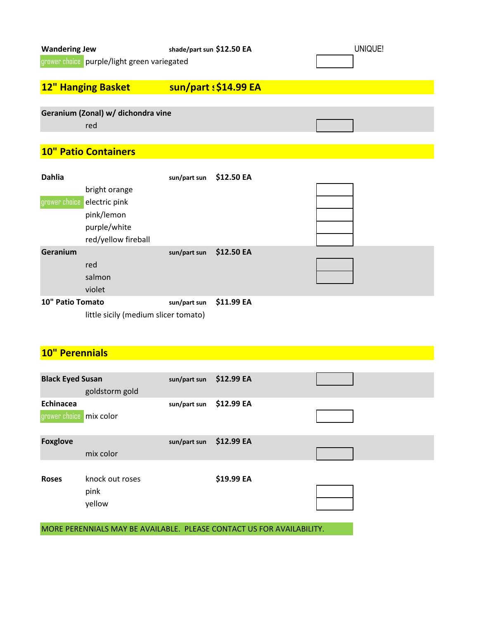| <b>Wandering Jew</b>                        | shade/part sun \$12.50 EA | UNIQUE! |
|---------------------------------------------|---------------------------|---------|
| grower choice purple/light green variegated |                           |         |
|                                             |                           |         |
| <b>12" Hanging Basket</b>                   | sun/part : \$14.99 EA     |         |
|                                             |                           |         |
| Geranium (Zonal) w/ dichondra vine          |                           |         |
| red                                         |                           |         |
|                                             |                           |         |

### **10" Patio Containers**

| <b>Dahlia</b>    |                                      | sun/part sun | \$12.50 EA |  |  |
|------------------|--------------------------------------|--------------|------------|--|--|
|                  | bright orange                        |              |            |  |  |
|                  | grower choice electric pink          |              |            |  |  |
|                  | pink/lemon                           |              |            |  |  |
|                  | purple/white                         |              |            |  |  |
|                  | red/yellow fireball                  |              |            |  |  |
| Geranium         |                                      | sun/part sun | \$12.50 EA |  |  |
|                  | red                                  |              |            |  |  |
|                  | salmon                               |              |            |  |  |
|                  | violet                               |              |            |  |  |
| 10" Patio Tomato |                                      | sun/part sun | \$11.99 EA |  |  |
|                  | little sicily (medium slicer tomato) |              |            |  |  |

### **10" Perennials**

| <b>Black Eyed Susan</b>              | goldstorm gold                    | sun/part sun | \$12.99 EA                                                            |  |
|--------------------------------------|-----------------------------------|--------------|-----------------------------------------------------------------------|--|
| Echinacea<br>grower choice mix color |                                   | sun/part sun | \$12.99 EA                                                            |  |
| <b>Foxglove</b>                      | mix color                         | sun/part sun | \$12.99 EA                                                            |  |
| <b>Roses</b>                         | knock out roses<br>pink<br>yellow |              | \$19.99 EA                                                            |  |
|                                      |                                   |              | MORE PERENNIALS MAY BE AVAILABLE. PLEASE CONTACT US FOR AVAILABILITY. |  |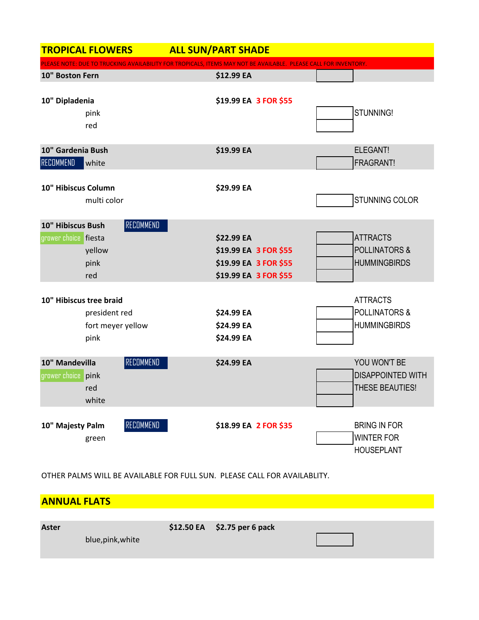| <b>TROPICAL FLOWERS</b>                                               | <b>ALL SUN/PART SHADE</b>                                                                                       |                                                                    |
|-----------------------------------------------------------------------|-----------------------------------------------------------------------------------------------------------------|--------------------------------------------------------------------|
|                                                                       | PLEASE NOTE: DUE TO TRUCKING AVAILABILITY FOR TROPICALS, ITEMS MAY NOT BE AVAILABLE. PLEASE CALL FOR INVENTORY. |                                                                    |
| 10" Boston Fern                                                       | \$12.99 EA                                                                                                      |                                                                    |
| 10" Dipladenia<br>pink<br>red                                         | \$19.99 EA 3 FOR \$55                                                                                           | STUNNING!                                                          |
| 10" Gardenia Bush                                                     | \$19.99 EA                                                                                                      | ELEGANT!                                                           |
| RECOMMEND<br>white                                                    |                                                                                                                 | FRAGRANT!                                                          |
| 10" Hibiscus Column<br>multi color                                    | \$29.99 EA                                                                                                      | STUNNING COLOR                                                     |
| <b>RECOMMEND</b><br>10" Hibiscus Bush                                 |                                                                                                                 |                                                                    |
| grower choice fiesta                                                  | \$22.99 EA                                                                                                      | <b>ATTRACTS</b>                                                    |
| yellow                                                                | \$19.99 EA 3 FOR \$55                                                                                           | <b>POLLINATORS &amp;</b>                                           |
| pink                                                                  | \$19.99 EA 3 FOR \$55                                                                                           | <b>HUMMINGBIRDS</b>                                                |
| red                                                                   | \$19.99 EA 3 FOR \$55                                                                                           |                                                                    |
| 10" Hibiscus tree braid<br>president red<br>fort meyer yellow<br>pink | \$24.99 EA<br>\$24.99 EA<br>\$24.99 EA                                                                          | <b>ATTRACTS</b><br><b>POLLINATORS &amp;</b><br><b>HUMMINGBIRDS</b> |
| RECOMMEND<br>10" Mandevilla<br>grower choice pink<br>red<br>white     | \$24.99 EA                                                                                                      | YOU WON'T BE<br><b>DISAPPOINTED WITH</b><br>THESE BEAUTIES!        |
| RECOMMEND<br>10" Majesty Palm<br>green                                | \$18.99 EA 2 FOR \$35                                                                                           | <b>BRING IN FOR</b><br><b>WINTER FOR</b><br><b>HOUSEPLANT</b>      |

OTHER PALMS WILL BE AVAILABLE FOR FULL SUN. PLEASE CALL FOR AVAILABLITY.

| <b>ANNUAL FLATS</b> |                              |  |
|---------------------|------------------------------|--|
|                     |                              |  |
| Aster               | \$12.50 EA \$2.75 per 6 pack |  |
| blue, pink, white   |                              |  |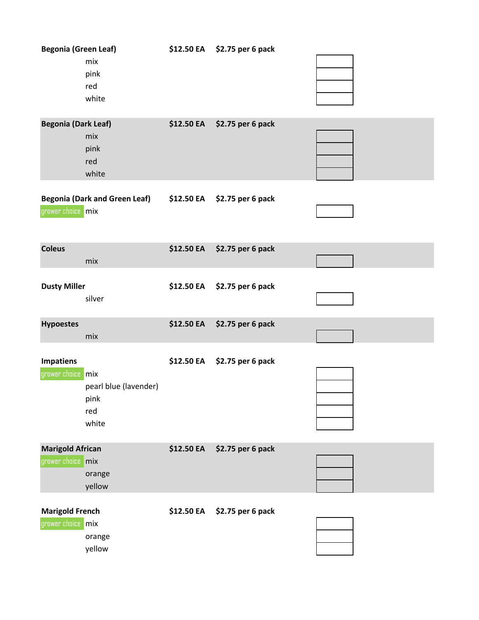| <b>Begonia (Green Leaf)</b>                    | mix<br>pink<br>red<br>white                   |                   | \$12.50 EA \$2.75 per 6 pack |  |
|------------------------------------------------|-----------------------------------------------|-------------------|------------------------------|--|
| <b>Begonia (Dark Leaf)</b>                     | mix<br>pink<br>red<br>white                   |                   | \$12.50 EA \$2.75 per 6 pack |  |
| grower choice mix                              | <b>Begonia (Dark and Green Leaf)</b>          |                   | \$12.50 EA \$2.75 per 6 pack |  |
| <b>Coleus</b>                                  | mix                                           | \$12.50 EA        | \$2.75 per 6 pack            |  |
| <b>Dusty Miller</b>                            | silver                                        |                   | \$12.50 EA \$2.75 per 6 pack |  |
| <b>Hypoestes</b>                               | mix                                           | \$12.50 EA        | \$2.75 per 6 pack            |  |
| <b>Impatiens</b><br>grower choice mix          | pearl blue (lavender)<br>pink<br>red<br>white | <b>\$12.50 EA</b> | \$2.75 per 6 pack            |  |
| <b>Marigold African</b><br>grower choice   mix | orange<br>yellow                              | \$12.50 EA        | \$2.75 per 6 pack            |  |
| <b>Marigold French</b><br>grower choice mix    | orange<br>yellow                              | \$12.50 EA        | \$2.75 per 6 pack            |  |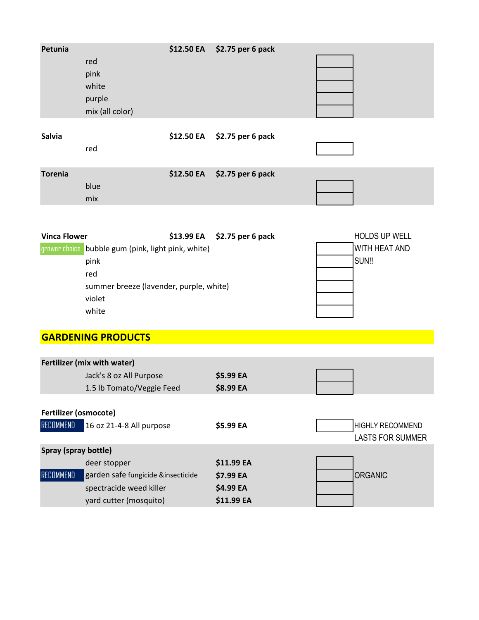| Petunia                                  | red<br>pink<br>white<br>purple<br>mix (all color)                                                                               | \$12.50 EA | \$2.75 per 6 pack                                  |                                                    |
|------------------------------------------|---------------------------------------------------------------------------------------------------------------------------------|------------|----------------------------------------------------|----------------------------------------------------|
| <b>Salvia</b>                            | red                                                                                                                             | \$12.50 EA | \$2.75 per 6 pack                                  |                                                    |
| <b>Torenia</b>                           | blue<br>mix                                                                                                                     | \$12.50 EA | \$2.75 per 6 pack                                  |                                                    |
| <b>Vinca Flower</b>                      | grower choice bubble gum (pink, light pink, white)<br>pink<br>red<br>summer breeze (lavender, purple, white)<br>violet<br>white | \$13.99 EA | \$2.75 per 6 pack                                  | <b>HOLDS UP WELL</b><br>WITH HEAT AND<br>SUN!!     |
|                                          | <b>GARDENING PRODUCTS</b>                                                                                                       |            |                                                    |                                                    |
|                                          | Fertilizer (mix with water)<br>Jack's 8 oz All Purpose<br>1.5 lb Tomato/Veggie Feed                                             |            | \$5.99 EA<br>\$8.99 EA                             |                                                    |
| Fertilizer (osmocote)<br>RECOMMEND       | 16 oz 21-4-8 All purpose                                                                                                        |            | \$5.99 EA                                          | <b>HIGHLY RECOMMEND</b><br><b>LASTS FOR SUMMER</b> |
| Spray (spray bottle)<br><b>RECOMMEND</b> | deer stopper<br>garden safe fungicide &insecticide<br>spectracide weed killer<br>yard cutter (mosquito)                         |            | \$11.99 EA<br>\$7.99 EA<br>\$4.99 EA<br>\$11.99 EA | <b>ORGANIC</b>                                     |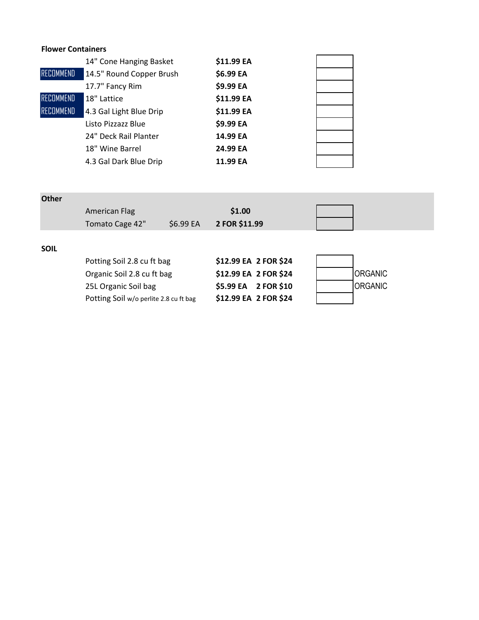### **Flower Containers**

|                  | 14" Cone Hanging Basket  | \$11.99 EA |  |
|------------------|--------------------------|------------|--|
| RECOMMEND        | 14.5" Round Copper Brush | \$6.99 EA  |  |
|                  | 17.7" Fancy Rim          | \$9.99 EA  |  |
| RECOMMEND        | 18" Lattice              | \$11.99 EA |  |
| <b>RECOMMEND</b> | 4.3 Gal Light Blue Drip  | \$11.99 EA |  |
|                  | Listo Pizzazz Blue       | \$9.99 EA  |  |
|                  | 24" Deck Rail Planter    | 14.99 EA   |  |
|                  | 18" Wine Barrel          | 24.99 EA   |  |
|                  | 4.3 Gal Dark Blue Drip   | 11.99 EA   |  |

| <b>Other</b> |                                        |           |               |                       |                |
|--------------|----------------------------------------|-----------|---------------|-----------------------|----------------|
|              | American Flag                          |           | \$1.00        |                       |                |
|              | Tomato Cage 42"                        | \$6.99 EA | 2 FOR \$11.99 |                       |                |
|              |                                        |           |               |                       |                |
| <b>SOIL</b>  |                                        |           |               |                       |                |
|              | Potting Soil 2.8 cu ft bag             |           |               | \$12.99 EA 2 FOR \$24 |                |
|              | Organic Soil 2.8 cu ft bag             |           |               | \$12.99 EA 2 FOR \$24 | <b>ORGANIC</b> |
|              | 25L Organic Soil bag                   |           |               | \$5.99 EA 2 FOR \$10  | <b>ORGANIC</b> |
|              | Potting Soil w/o perlite 2.8 cu ft bag |           |               | \$12.99 EA 2 FOR \$24 |                |